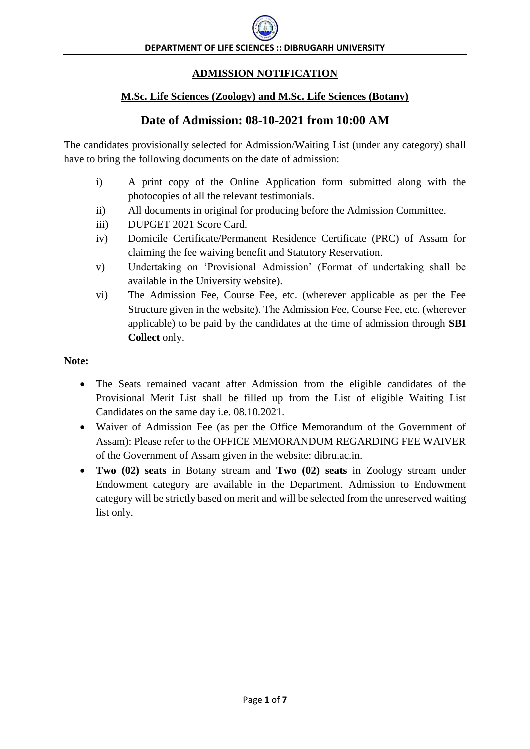# **ADMISSION NOTIFICATION**

#### **M.Sc. Life Sciences (Zoology) and M.Sc. Life Sciences (Botany)**

# **Date of Admission: 08-10-2021 from 10:00 AM**

The candidates provisionally selected for Admission/Waiting List (under any category) shall have to bring the following documents on the date of admission:

- i) A print copy of the Online Application form submitted along with the photocopies of all the relevant testimonials.
- ii) All documents in original for producing before the Admission Committee.
- iii) DUPGET 2021 Score Card.
- iv) Domicile Certificate/Permanent Residence Certificate (PRC) of Assam for claiming the fee waiving benefit and Statutory Reservation.
- v) Undertaking on 'Provisional Admission' (Format of undertaking shall be available in the University website).
- vi) The Admission Fee, Course Fee, etc. (wherever applicable as per the Fee Structure given in the website). The Admission Fee, Course Fee, etc. (wherever applicable) to be paid by the candidates at the time of admission through **SBI Collect** only.

#### **Note:**

- The Seats remained vacant after Admission from the eligible candidates of the Provisional Merit List shall be filled up from the List of eligible Waiting List Candidates on the same day i.e. 08.10.2021.
- Waiver of Admission Fee (as per the Office Memorandum of the Government of Assam): Please refer to the OFFICE MEMORANDUM REGARDING FEE WAIVER of the Government of Assam given in the website: dibru.ac.in.
- **Two (02) seats** in Botany stream and **Two (02) seats** in Zoology stream under Endowment category are available in the Department. Admission to Endowment category will be strictly based on merit and will be selected from the unreserved waiting list only.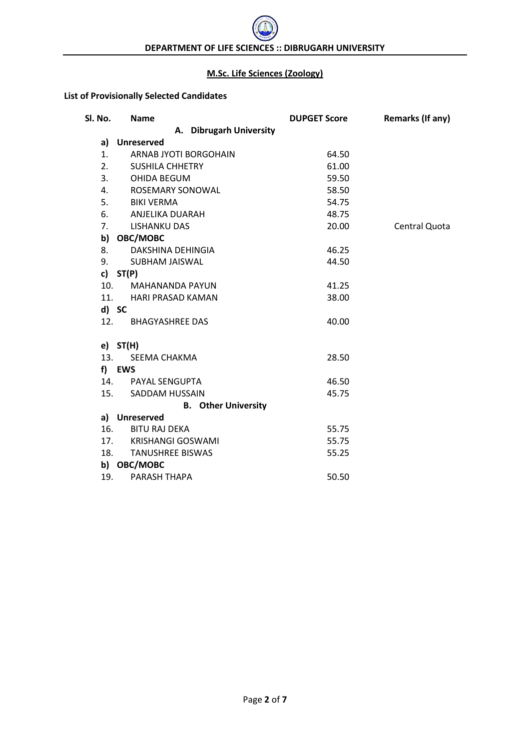#### **M.Sc. Life Sciences (Zoology)**

## **List of Provisionally Selected Candidates**

| Sl. No. | <b>Name</b>                | <b>DUPGET Score</b> | <b>Remarks (If any)</b> |
|---------|----------------------------|---------------------|-------------------------|
|         | A. Dibrugarh University    |                     |                         |
| a)      | <b>Unreserved</b>          |                     |                         |
| 1.      | ARNAB JYOTI BORGOHAIN      | 64.50               |                         |
| 2.      | <b>SUSHILA CHHETRY</b>     | 61.00               |                         |
| 3.      | OHIDA BEGUM                | 59.50               |                         |
| 4.      | ROSEMARY SONOWAL           | 58.50               |                         |
| 5.      | BIKI VERMA                 | 54.75               |                         |
| 6.      | ANJELIKA DUARAH            | 48.75               |                         |
| 7.      | <b>LISHANKU DAS</b>        | 20.00               | Central Quota           |
|         | b) OBC/MOBC                |                     |                         |
| 8.      | DAKSHINA DEHINGIA          | 46.25               |                         |
| 9.      | SUBHAM JAISWAL             | 44.50               |                         |
|         | c) $ST(P)$                 |                     |                         |
| 10.     | <b>MAHANANDA PAYUN</b>     | 41.25               |                         |
|         | 11. HARI PRASAD KAMAN      | 38.00               |                         |
|         | d) SC                      |                     |                         |
| 12.     | <b>BHAGYASHREE DAS</b>     | 40.00               |                         |
|         | $e)$ ST(H)                 |                     |                         |
| 13.     | SEEMA CHAKMA               | 28.50               |                         |
|         | f) EWS                     |                     |                         |
|         | 14. PAYAL SENGUPTA         | 46.50               |                         |
|         | 15. SADDAM HUSSAIN         | 45.75               |                         |
|         | <b>B.</b> Other University |                     |                         |
|         | a) Unreserved              |                     |                         |
| 16.     | <b>BITU RAJ DEKA</b>       | 55.75               |                         |
|         | 17. KRISHANGI GOSWAMI      | 55.75               |                         |
|         | 18. TANUSHREE BISWAS       | 55.25               |                         |
|         | b) OBC/MOBC                |                     |                         |
| 19.     | PARASH THAPA               | 50.50               |                         |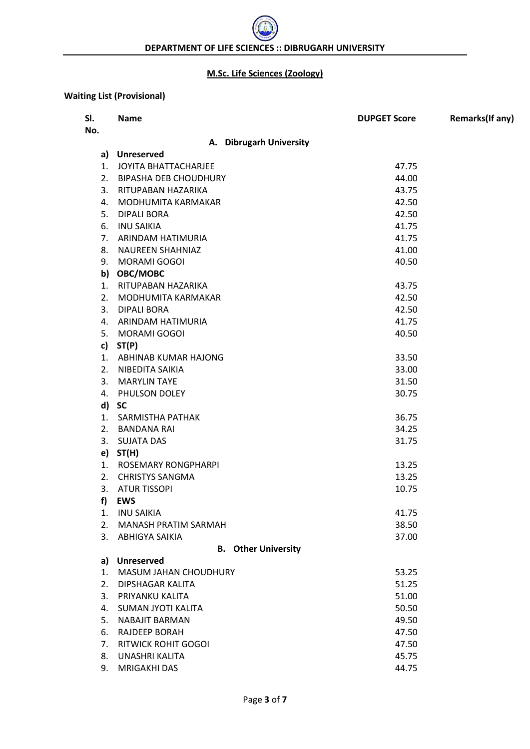## **M.Sc. Life Sciences (Zoology)**

## **Waiting List (Provisional)**

| SI.<br>No. | <b>Name</b>                            | <b>DUPGET Score</b> | Remarks(If any) |
|------------|----------------------------------------|---------------------|-----------------|
|            | A. Dibrugarh University                |                     |                 |
|            | a) Unreserved                          |                     |                 |
|            | 1. JOYITA BHATTACHARJEE                | 47.75               |                 |
| 2.         | <b>BIPASHA DEB CHOUDHURY</b>           | 44.00               |                 |
| 3.         | RITUPABAN HAZARIKA                     | 43.75               |                 |
| 4.         | MODHUMITA KARMAKAR                     | 42.50               |                 |
| 5.         | DIPALI BORA                            | 42.50               |                 |
| 6.         | <b>INU SAIKIA</b>                      | 41.75               |                 |
| 7.         | ARINDAM HATIMURIA                      | 41.75               |                 |
| 8.         | <b>NAUREEN SHAHNIAZ</b>                | 41.00               |                 |
|            | 9. MORAMI GOGOI                        | 40.50               |                 |
|            | b) OBC/MOBC                            |                     |                 |
| 1.         | RITUPABAN HAZARIKA                     | 43.75               |                 |
| 2.         | MODHUMITA KARMAKAR                     | 42.50               |                 |
|            | 3. DIPALI BORA                         | 42.50               |                 |
|            | 4. ARINDAM HATIMURIA                   | 41.75               |                 |
| 5.         | MORAMI GOGOI                           | 40.50               |                 |
| c)         | ST(P)                                  |                     |                 |
|            | 1. ABHINAB KUMAR HAJONG                | 33.50               |                 |
|            | 2. NIBEDITA SAIKIA                     | 33.00               |                 |
| 3.         | <b>MARYLIN TAYE</b>                    | 31.50               |                 |
| 4.         | PHULSON DOLEY                          | 30.75               |                 |
|            | d) SC                                  |                     |                 |
| 1.<br>2.   | SARMISTHA PATHAK<br><b>BANDANA RAI</b> | 36.75<br>34.25      |                 |
| 3.         | <b>SUJATA DAS</b>                      | 31.75               |                 |
|            | $e)$ ST(H)                             |                     |                 |
|            | 1. ROSEMARY RONGPHARPI                 | 13.25               |                 |
| 2.         | <b>CHRISTYS SANGMA</b>                 | 13.25               |                 |
| 3.         | <b>ATUR TISSOPI</b>                    | 10.75               |                 |
| f)         | <b>EWS</b>                             |                     |                 |
| 1.         | <b>INU SAIKIA</b>                      | 41.75               |                 |
| 2.         | <b>MANASH PRATIM SARMAH</b>            | 38.50               |                 |
| 3.         | <b>ABHIGYA SAIKIA</b>                  | 37.00               |                 |
|            | <b>B.</b> Other University             |                     |                 |
|            | a) Unreserved                          |                     |                 |
| 1.         | MASUM JAHAN CHOUDHURY                  | 53.25               |                 |
| 2.         | DIPSHAGAR KALITA                       | 51.25               |                 |
| 3.         | PRIYANKU KALITA                        | 51.00               |                 |
| 4.         | SUMAN JYOTI KALITA                     | 50.50               |                 |
| 5.         | NABAJIT BARMAN                         | 49.50               |                 |
| 6.         | <b>RAJDEEP BORAH</b>                   | 47.50               |                 |
| 7.         | <b>RITWICK ROHIT GOGOI</b>             | 47.50               |                 |
| 8.         | UNASHRI KALITA                         | 45.75               |                 |
| 9.         | <b>MRIGAKHI DAS</b>                    | 44.75               |                 |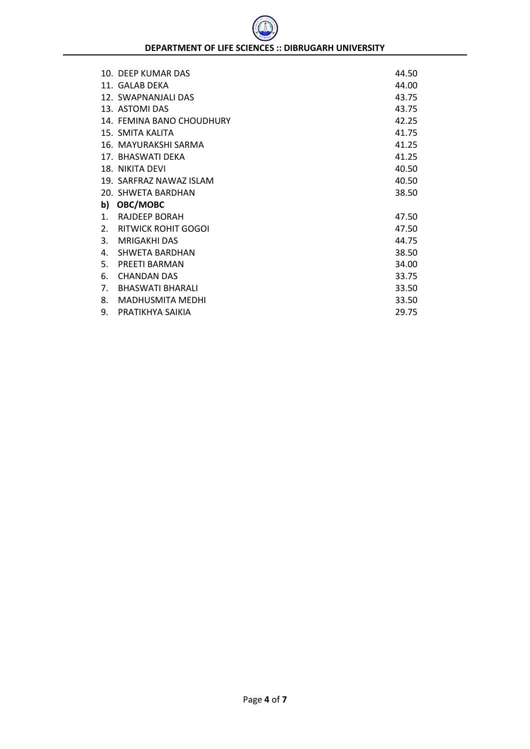|                | 10. DEEP KUMAR DAS         | 44.50 |
|----------------|----------------------------|-------|
|                | 11. GALAB DEKA             | 44.00 |
|                | 12. SWAPNANJALI DAS        | 43.75 |
|                | 13. ASTOMI DAS             | 43.75 |
|                | 14. FEMINA BANO CHOUDHURY  | 42.25 |
|                | 15. SMITA KALITA           | 41.75 |
|                | 16. MAYURAKSHI SARMA       | 41.25 |
|                | 17. BHASWATI DEKA          | 41.25 |
|                | 18. NIKITA DEVI            | 40.50 |
|                | 19. SARFRAZ NAWAZ ISLAM    | 40.50 |
|                | 20. SHWETA BARDHAN         | 38.50 |
| b)             | OBC/MOBC                   |       |
| $\mathbf{1}$ . | RAJDEEP BORAH              | 47.50 |
| 2.             | <b>RITWICK ROHIT GOGOI</b> | 47.50 |
| 3.             | MRIGAKHI DAS               | 44.75 |
| 4.             | SHWETA BARDHAN             | 38.50 |
| 5.             | PREETI BARMAN              | 34.00 |
| 6.             | <b>CHANDAN DAS</b>         | 33.75 |
| 7.             | <b>BHASWATI BHARALI</b>    | 33.50 |
| 8.             | <b>MADHUSMITA MEDHI</b>    | 33.50 |
| 9.             | PRATIKHYA SAIKIA           | 29.75 |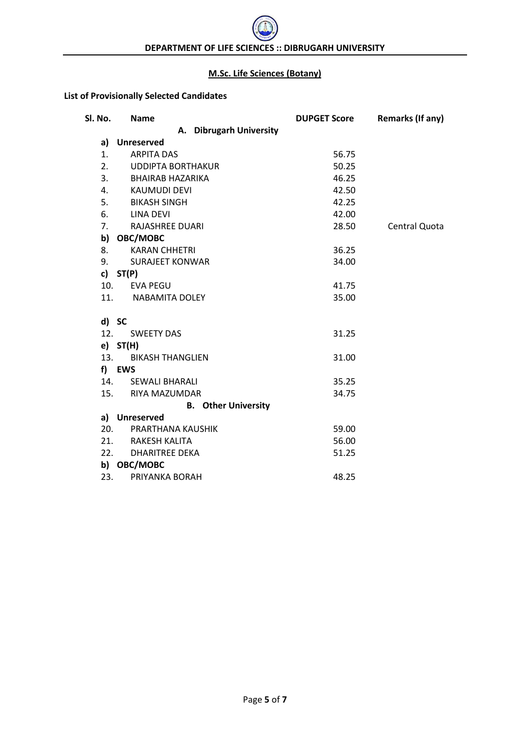#### **M.Sc. Life Sciences (Botany)**

## **List of Provisionally Selected Candidates**

| Sl. No. | <b>Name</b>                    | <b>DUPGET Score</b> | <b>Remarks (If any)</b> |
|---------|--------------------------------|---------------------|-------------------------|
|         | A. Dibrugarh University        |                     |                         |
| a)      | <b>Unreserved</b>              |                     |                         |
| 1.      | <b>ARPITA DAS</b>              | 56.75               |                         |
| 2.      | <b>UDDIPTA BORTHAKUR</b>       | 50.25               |                         |
|         | 3. BHAIRAB HAZARIKA            | 46.25               |                         |
| 4.      | KAUMUDI DEVI                   | 42.50               |                         |
| 5.      | <b>BIKASH SINGH</b>            | 42.25               |                         |
| 6.      | <b>LINA DEVI</b>               | 42.00               |                         |
| 7.      | RAJASHREE DUARI                | 28.50               | Central Quota           |
|         | b) OBC/MOBC                    |                     |                         |
| 8.      | <b>KARAN CHHETRI</b>           | 36.25               |                         |
| 9.      | <b>SURAJEET KONWAR</b>         | 34.00               |                         |
|         | c) $ST(P)$                     |                     |                         |
|         | 10.<br><b>EVA PEGU</b>         | 41.75               |                         |
|         | 11.<br><b>NABAMITA DOLEY</b>   | 35.00               |                         |
|         | d) SC                          |                     |                         |
| 12.     | <b>SWEETY DAS</b>              | 31.25               |                         |
|         | e) ST(H)                       |                     |                         |
|         | 13.<br><b>BIKASH THANGLIEN</b> | 31.00               |                         |
|         | f) EWS                         |                     |                         |
|         | 14.<br><b>SEWALI BHARALI</b>   | 35.25               |                         |
|         | 15.<br>RIYA MAZUMDAR           | 34.75               |                         |
|         | <b>B.</b> Other University     |                     |                         |
|         | a) Unreserved                  |                     |                         |
| 20.     | PRARTHANA KAUSHIK              | 59.00               |                         |
|         | 21. RAKESH KALITA              | 56.00               |                         |
|         | 22.<br><b>DHARITREE DEKA</b>   | 51.25               |                         |
|         | b) OBC/MOBC                    |                     |                         |
| 23.     | PRIYANKA BORAH                 | 48.25               |                         |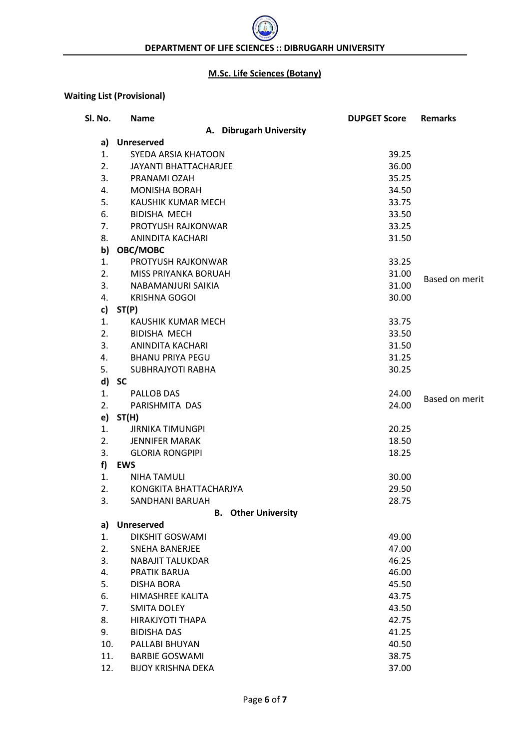#### **M.Sc. Life Sciences (Botany)**

## **Waiting List (Provisional)**

| Sl. No. | <b>Name</b>                  | <b>DUPGET Score</b> | <b>Remarks</b>        |
|---------|------------------------------|---------------------|-----------------------|
|         | A. Dibrugarh University      |                     |                       |
| a)      | <b>Unreserved</b>            |                     |                       |
| 1.      | SYEDA ARSIA KHATOON          | 39.25               |                       |
| 2.      | <b>JAYANTI BHATTACHARJEE</b> | 36.00               |                       |
| 3.      | PRANAMI OZAH                 | 35.25               |                       |
| 4.      | <b>MONISHA BORAH</b>         | 34.50               |                       |
| 5.      | KAUSHIK KUMAR MECH           | 33.75               |                       |
| 6.      | <b>BIDISHA MECH</b>          | 33.50               |                       |
| 7.      | PROTYUSH RAJKONWAR           | 33.25               |                       |
| 8.      | ANINDITA KACHARI             | 31.50               |                       |
| b)      | OBC/MOBC                     |                     |                       |
| 1.      | PROTYUSH RAJKONWAR           | 33.25               |                       |
| 2.      | MISS PRIYANKA BORUAH         | 31.00               |                       |
| 3.      | NABAMANJURI SAIKIA           | 31.00               | Based on merit        |
| 4.      | <b>KRISHNA GOGOI</b>         | 30.00               |                       |
| c)      | ST(P)                        |                     |                       |
| 1.      | KAUSHIK KUMAR MECH           | 33.75               |                       |
| 2.      | <b>BIDISHA MECH</b>          | 33.50               |                       |
| 3.      | ANINDITA KACHARI             | 31.50               |                       |
| 4.      | <b>BHANU PRIYA PEGU</b>      | 31.25               |                       |
| 5.      | SUBHRAJYOTI RABHA            | 30.25               |                       |
| d)      | <b>SC</b>                    |                     |                       |
| 1.      | PALLOB DAS                   | 24.00               |                       |
| 2.      | PARISHMITA DAS               | 24.00               | <b>Based on merit</b> |
|         | $e)$ ST(H)                   |                     |                       |
| 1.      | <b>JIRNIKA TIMUNGPI</b>      | 20.25               |                       |
| 2.      | <b>JENNIFER MARAK</b>        | 18.50               |                       |
| 3.      | <b>GLORIA RONGPIPI</b>       | 18.25               |                       |
| f       | EWS                          |                     |                       |
| 1.      | <b>NIHA TAMULI</b>           | 30.00               |                       |
| 2.      | KONGKITA BHATTACHARJYA       | 29.50               |                       |
| 3.      | <b>SANDHANI BARUAH</b>       | 28.75               |                       |
|         | <b>B.</b> Other University   |                     |                       |
| a)      | <b>Unreserved</b>            |                     |                       |
| 1.      | <b>DIKSHIT GOSWAMI</b>       | 49.00               |                       |
| 2.      | <b>SNEHA BANERJEE</b>        | 47.00               |                       |
| 3.      | <b>NABAJIT TALUKDAR</b>      | 46.25               |                       |
| 4.      | PRATIK BARUA                 | 46.00               |                       |
| 5.      | <b>DISHA BORA</b>            | 45.50               |                       |
| 6.      | HIMASHREE KALITA             | 43.75               |                       |
| 7.      | <b>SMITA DOLEY</b>           | 43.50               |                       |
| 8.      | HIRAKJYOTI THAPA             | 42.75               |                       |
| 9.      | <b>BIDISHA DAS</b>           | 41.25               |                       |
| 10.     | PALLABI BHUYAN               | 40.50               |                       |
| 11.     | <b>BARBIE GOSWAMI</b>        | 38.75               |                       |
| 12.     | <b>BIJOY KRISHNA DEKA</b>    | 37.00               |                       |
|         |                              |                     |                       |